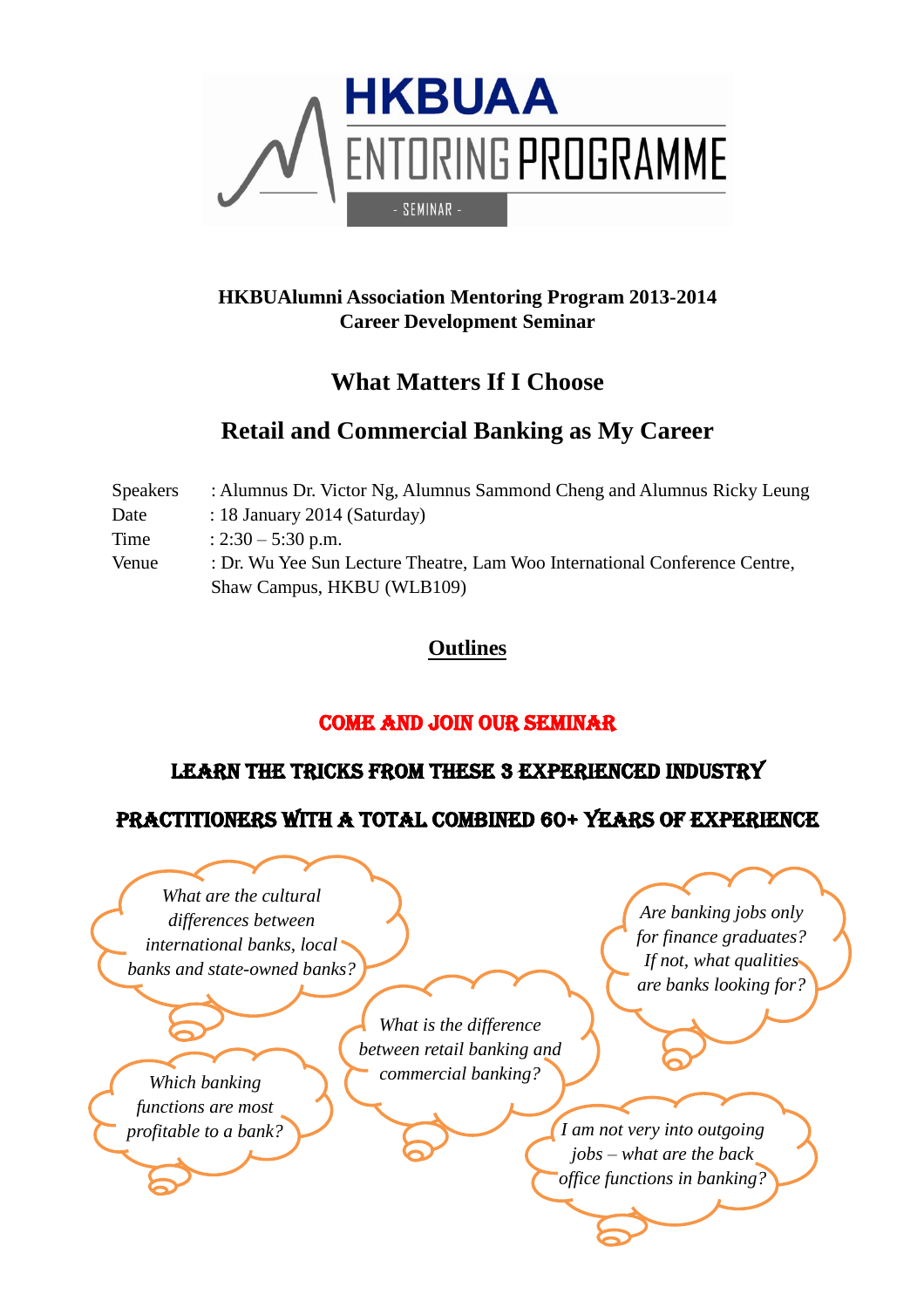

### **HKBUAlumni Association Mentoring Program 2013-2014 Career Development Seminar**

# **What Matters If I Choose**

# **Retail and Commercial Banking as My Career**

| <b>Speakers</b> | : Alumnus Dr. Victor Ng, Alumnus Sammond Cheng and Alumnus Ricky Leung     |
|-----------------|----------------------------------------------------------------------------|
| Date            | : 18 January 2014 (Saturday)                                               |
| Time            | : $2:30 - 5:30$ p.m.                                                       |
| Venue           | : Dr. Wu Yee Sun Lecture Theatre, Lam Woo International Conference Centre, |
|                 | Shaw Campus, HKBU (WLB109)                                                 |

## **Outlines**

## COME AND JOIN OUR SEMINAR

## LEARN THE TRICKS FROM THESE 3 EXPERIENCED INDUSTRY

## PRACTITIONERS WITH A TOTAL COMBINED 60+ YEARS OF EXPERIENCE